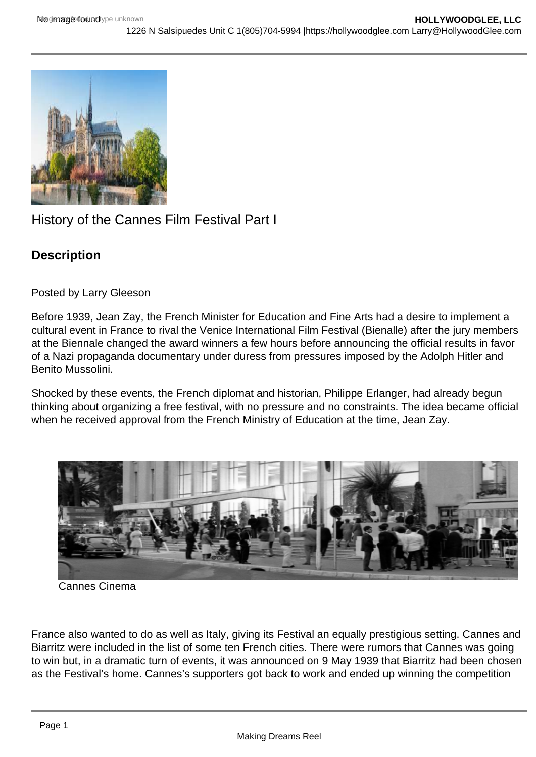## History of the Cannes Film Festival Part I

**Description** 

Posted by Larry Gleeson

Before 1939, Jean Zay, the French Minister for Education and Fine Arts had a desire to implement a cultural event in France to rival the Venice International Film Festival (Bienalle) after the jury members at the Biennale changed the award winners a few hours before announcing the official results in favor of a Nazi propaganda documentary under duress from pressures imposed by the Adolph Hitler and Benito Mussolini.

Shocked by these events, the French diplomat and historian, Philippe Erlanger, had already begun thinking about organizing a free festival, with no pressure and no constraints. The idea became official when he received approval from the French Ministry of Education at the time, Jean Zay.

Cannes Cinema

France also wanted to do as well as Italy, giving its Festival an equally prestigious setting. Cannes and Biarritz were included in the list of some ten French cities. There were rumors that Cannes was going to win but, in a dramatic turn of events, it was announced on 9 May 1939 that Biarritz had been chosen as the Festival's home. Cannes's supporters got back to work and ended up winning the competition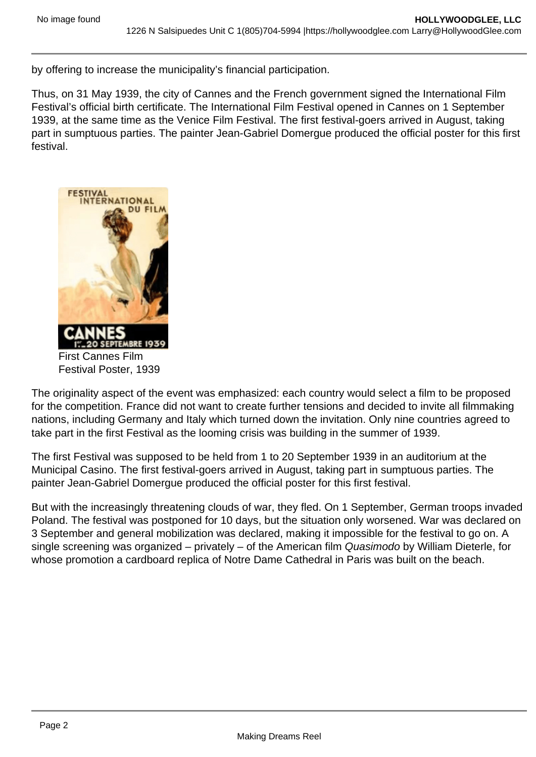by offering to increase the municipality's financial participation.

Thus, on 31 May 1939, the city of Cannes and the French government signed the International Film Festival's official birth certificate. The International Film Festival opened in Cannes on 1 September 1939, at the same time as the Venice Film Festival. The first festival-goers arrived in August, taking part in sumptuous parties. The painter Jean-Gabriel Domergue produced the official poster for this first festival.

First Cannes Film Festival Poster, 1939

The originality aspect of the event was emphasized: each country would select a film to be proposed for the competition. France did not want to create further tensions and decided to invite all filmmaking nations, including Germany and Italy which turned down the invitation. Only nine countries agreed to take part in the first Festival as the looming crisis was building in the summer of 1939.

The first Festival was supposed to be held from 1 to 20 September 1939 in an auditorium at the Municipal Casino. The first festival-goers arrived in August, taking part in sumptuous parties. The painter Jean-Gabriel Domergue produced the official poster for this first festival.

But with the increasingly threatening clouds of war, they fled. On 1 September, German troops invaded Poland. The festival was postponed for 10 days, but the situation only worsened. War was declared on 3 September and general mobilization was declared, making it impossible for the festival to go on. A single screening was organized – privately – of the American film Quasimodo by William Dieterle, for whose promotion a cardboard replica of Notre Dame Cathedral in Paris was built on the beach.